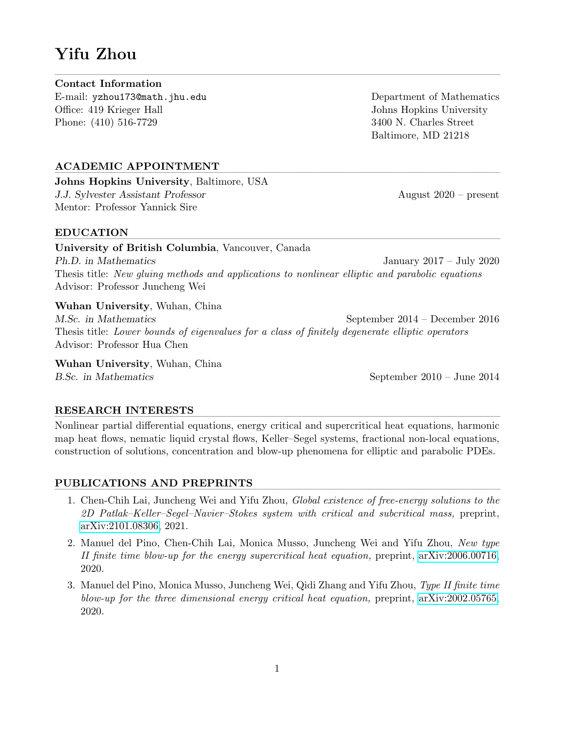# Yifu Zhou

#### $\overline{\phantom{a}}$  , and the contract of the contract of the contract of the contract of the contract of the contract of the contract of the contract of the contract of the contract of the contract of the contract of the contrac Contact Information

E-mail: yzhou173@math.jhu.edu Office: 419 Krieger Hall Phone: (410) 516-7729

Department of Mathematics Johns Hopkins University 3400 N. Charles Street Baltimore, MD 21218

## ACADEMIC APPOINTMENT

Johns Hopkins University, Baltimore, USA J.J. Sylvester Assistant Professor August 2020 – present Mentor: Professor Yannick Sire

## EDUCATION ———————————————————————————————————————————

University of British Columbia, Vancouver, Canada Ph.D. in Mathematics January 2017 – July 2020 Thesis title: New gluing methods and applications to nonlinear elliptic and parabolic equations Advisor: Professor Juncheng Wei

Wuhan University, Wuhan, China M.Sc. in Mathematics September 2014 – December 2016 Thesis title: Lower bounds of eigenvalues for a class of finitely degenerate elliptic operators Advisor: Professor Hua Chen

Wuhan University, Wuhan, China B.Sc. in Mathematics September 2010 – June 2014

## RESEARCH INTERESTS

Nonlinear partial differential equations, energy critical and supercritical heat equations, harmonic map heat flows, nematic liquid crystal flows, Keller–Segel systems, fractional non-local equations, construction of solutions, concentration and blow-up phenomena for elliptic and parabolic PDEs.

## PUBLICATIONS AND PREPRINTS

- 1. Chen-Chih Lai, Juncheng Wei and Yifu Zhou, Global existence of free-energy solutions to the 2D Patlak–Keller–Segel–Navier–Stokes system with critical and subcritical mass, preprint, [arXiv:2101.08306,](https://arxiv.org/abs/2101.08306) 2021.
- 2. Manuel del Pino, Chen-Chih Lai, Monica Musso, Juncheng Wei and Yifu Zhou, New type II finite time blow-up for the energy supercritical heat equation, preprint, [arXiv:2006.00716,](https://arxiv.org/abs/2006.00716) 2020.
- 3. Manuel del Pino, Monica Musso, Juncheng Wei, Qidi Zhang and Yifu Zhou, Type II finite time blow-up for the three dimensional energy critical heat equation, preprint, [arXiv:2002.05765,](https://arxiv.org/abs/2002.05765) 2020.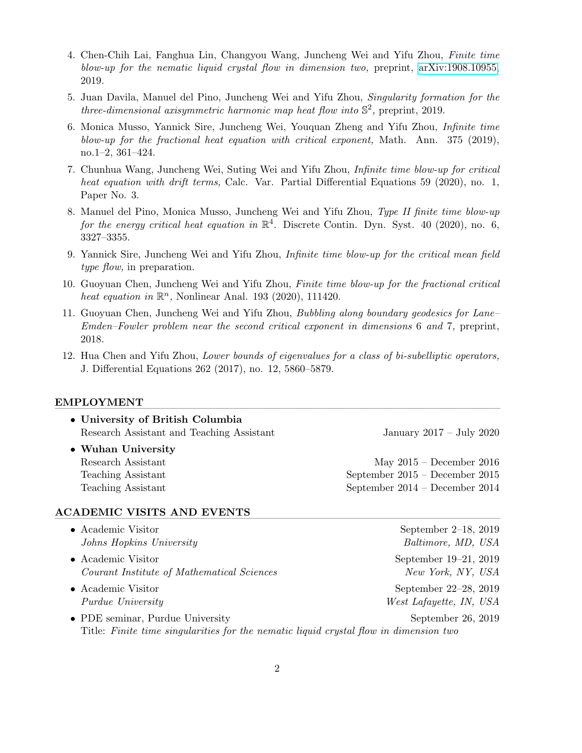- 4. Chen-Chih Lai, Fanghua Lin, Changyou Wang, Juncheng Wei and Yifu Zhou, Finite time blow-up for the nematic liquid crystal flow in dimension two, preprint, [arXiv:1908.10955,](https://arxiv.org/abs/1908.10955) 2019.
- 5. Juan Davila, Manuel del Pino, Juncheng Wei and Yifu Zhou, Singularity formation for the three-dimensional axisymmetric harmonic map heat flow into  $\mathbb{S}^2$ , preprint, 2019.
- 6. Monica Musso, Yannick Sire, Juncheng Wei, Youquan Zheng and Yifu Zhou, Infinite time blow-up for the fractional heat equation with critical exponent, Math. Ann. 375 (2019), no.1–2, 361–424.
- 7. Chunhua Wang, Juncheng Wei, Suting Wei and Yifu Zhou, Infinite time blow-up for critical heat equation with drift terms, Calc. Var. Partial Differential Equations 59 (2020), no. 1, Paper No. 3.
- 8. Manuel del Pino, Monica Musso, Juncheng Wei and Yifu Zhou, Type II finite time blow-up for the energy critical heat equation in  $\mathbb{R}^4$ . Discrete Contin. Dyn. Syst. 40 (2020), no. 6, 3327–3355.
- 9. Yannick Sire, Juncheng Wei and Yifu Zhou, Infinite time blow-up for the critical mean field type flow, in preparation.
- 10. Guoyuan Chen, Juncheng Wei and Yifu Zhou, Finite time blow-up for the fractional critical heat equation in  $\mathbb{R}^n$ , Nonlinear Anal. 193 (2020), 111420.
- 11. Guoyuan Chen, Juncheng Wei and Yifu Zhou, Bubbling along boundary geodesics for Lane– Emden–Fowler problem near the second critical exponent in dimensions 6 and 7, preprint, 2018.
- 12. Hua Chen and Yifu Zhou, Lower bounds of eigenvalues for a class of bi-subelliptic operators, J. Differential Equations 262 (2017), no. 12, 5860–5879.

#### $EMPLOYMENT$

| • University of British Columbia          |                                  |
|-------------------------------------------|----------------------------------|
| Research Assistant and Teaching Assistant | January 2017 – July 2020         |
| • Wuhan University                        |                                  |
| Research Assistant                        | May $2015$ – December 2016       |
| Teaching Assistant                        | September $2015$ – December 2015 |
| Teaching Assistant                        | September $2014$ – December 2014 |
|                                           |                                  |

## ACADEMIC VISITS AND EVENTS

- Academic Visitor September 2–18, 2019 Johns Hopkins University Baltimore, MD, USA
- Academic Visitor September 19–21, 2019 Courant Institute of Mathematical Sciences New York, NY, USA
- Academic Visitor September 22–28, 2019
- Purdue University West Lafayette, IN, USA • PDE seminar, Purdue University September 26, 2019 Title: Finite time singularities for the nematic liquid crystal flow in dimension two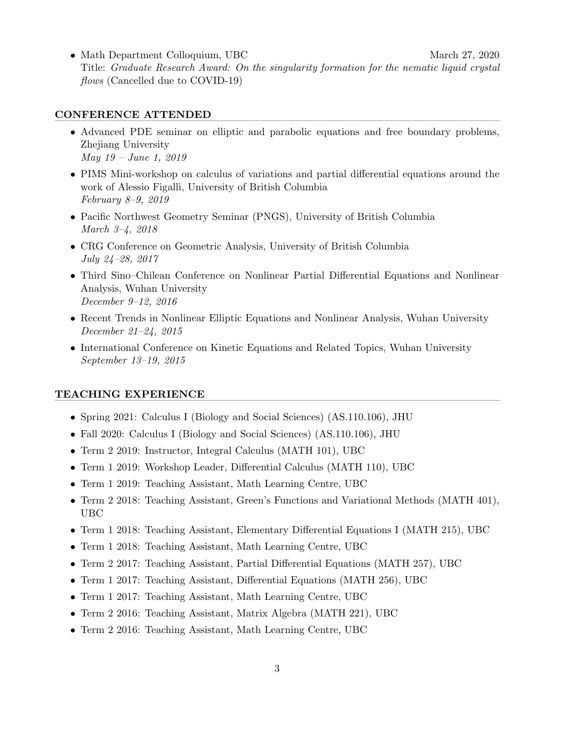• Math Department Colloquium, UBC March 27, 2020 Title: Graduate Research Award: On the singularity formation for the nematic liquid crystal flows (Cancelled due to COVID-19)

## CONFERENCE ATTENDED

- Advanced PDE seminar on elliptic and parabolic equations and free boundary problems, Zhejiang University May 19 – June 1, 2019
- PIMS Mini-workshop on calculus of variations and partial differential equations around the work of Alessio Figalli, University of British Columbia February 8–9, 2019
- Pacific Northwest Geometry Seminar (PNGS), University of British Columbia March 3–4, 2018
- CRG Conference on Geometric Analysis, University of British Columbia July 24–28, 2017
- Third Sino–Chilean Conference on Nonlinear Partial Differential Equations and Nonlinear Analysis, Wuhan University December 9–12, 2016
- Recent Trends in Nonlinear Elliptic Equations and Nonlinear Analysis, Wuhan University December 21–24, 2015
- International Conference on Kinetic Equations and Related Topics, Wuhan University September 13–19, 2015

## TEACHING EXPERIENCE

- Spring 2021: Calculus I (Biology and Social Sciences) (AS.110.106), JHU
- Fall 2020: Calculus I (Biology and Social Sciences) (AS.110.106), JHU
- Term 2 2019: Instructor, Integral Calculus (MATH 101), UBC
- Term 1 2019: Workshop Leader, Differential Calculus (MATH 110), UBC
- Term 1 2019: Teaching Assistant, Math Learning Centre, UBC
- Term 2 2018: Teaching Assistant, Green's Functions and Variational Methods (MATH 401), UBC
- Term 1 2018: Teaching Assistant, Elementary Differential Equations I (MATH 215), UBC
- Term 1 2018: Teaching Assistant, Math Learning Centre, UBC
- Term 2 2017: Teaching Assistant, Partial Differential Equations (MATH 257), UBC
- Term 1 2017: Teaching Assistant, Differential Equations (MATH 256), UBC
- Term 1 2017: Teaching Assistant, Math Learning Centre, UBC
- Term 2 2016: Teaching Assistant, Matrix Algebra (MATH 221), UBC
- Term 2 2016: Teaching Assistant, Math Learning Centre, UBC